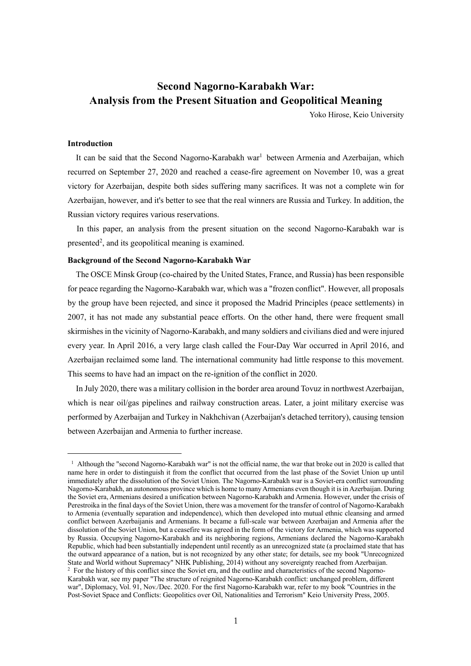# **Second Nagorno-Karabakh War: Analysis from the Present Situation and Geopolitical Meaning**

Yoko Hirose, Keio University

# **Introduction**

It can be said that the Second Nagorno-Karabakh war<sup>1</sup> between Armenia and Azerbaijan, which recurred on September 27, 2020 and reached a cease-fire agreement on November 10, was a great victory for Azerbaijan, despite both sides suffering many sacrifices. It was not a complete win for Azerbaijan, however, and it's better to see that the real winners are Russia and Turkey. In addition, the Russian victory requires various reservations.

In this paper, an analysis from the present situation on the second Nagorno-Karabakh war is presented<sup>2</sup>, and its geopolitical meaning is examined.

## **Background of the Second Nagorno-Karabakh War**

The OSCE Minsk Group (co-chaired by the United States, France, and Russia) has been responsible for peace regarding the Nagorno-Karabakh war, which was a "frozen conflict". However, all proposals by the group have been rejected, and since it proposed the Madrid Principles (peace settlements) in 2007, it has not made any substantial peace efforts. On the other hand, there were frequent small skirmishes in the vicinity of Nagorno-Karabakh, and many soldiers and civilians died and were injured every year. In April 2016, a very large clash called the Four-Day War occurred in April 2016, and Azerbaijan reclaimed some land. The international community had little response to this movement. This seems to have had an impact on the re-ignition of the conflict in 2020.

In July 2020, there was a military collision in the border area around Tovuz in northwest Azerbaijan, which is near oil/gas pipelines and railway construction areas. Later, a joint military exercise was performed by Azerbaijan and Turkey in Nakhchivan (Azerbaijan's detached territory), causing tension between Azerbaijan and Armenia to further increase.

 $1$  Although the "second Nagorno-Karabakh war" is not the official name, the war that broke out in 2020 is called that name here in order to distinguish it from the conflict that occurred from the last phase of the Soviet Union up until immediately after the dissolution of the Soviet Union. The Nagorno-Karabakh war is a Soviet-era conflict surrounding Nagorno-Karabakh, an autonomous province which is home to many Armenians even though it is in Azerbaijan. During the Soviet era, Armenians desired a unification between Nagorno-Karabakh and Armenia. However, under the crisis of Perestroika in the final days of the Soviet Union, there was a movement for the transfer of control of Nagorno-Karabakh to Armenia (eventually separation and independence), which then developed into mutual ethnic cleansing and armed conflict between Azerbaijanis and Armenians. It became a full-scale war between Azerbaijan and Armenia after the dissolution of the Soviet Union, but a ceasefire was agreed in the form of the victory for Armenia, which was supported by Russia. Occupying Nagorno-Karabakh and its neighboring regions, Armenians declared the Nagorno-Karabakh Republic, which had been substantially independent until recently as an unrecognized state (a proclaimed state that has the outward appearance of a nation, but is not recognized by any other state; for details, see my book "Unrecognized State and World without Supremacy" NHK Publishing, 2014) without any sovereignty reached from Azerbaijan. <sup>2</sup> For the history of this conflict since the Soviet era, and the outline and characteristics of the second Nagorno-Karabakh war, see my paper "The structure of reignited Nagorno-Karabakh conflict: unchanged problem, different war", Diplomacy, Vol. 91, Nov./Dec. 2020. For the first Nagorno-Karabakh war, refer to my book "Countries in the Post-Soviet Space and Conflicts: Geopolitics over Oil, Nationalities and Terrorism" Keio University Press, 2005.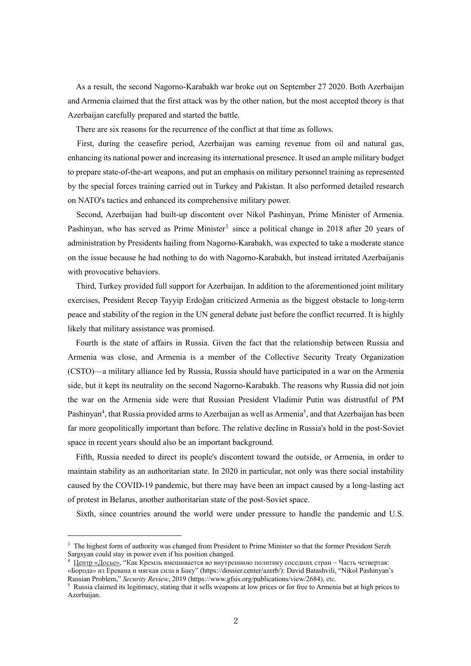As a result, the second Nagorno-Karabakh war broke out on September 27 2020. Both Azerbaijan and Armenia claimed that the first attack was by the other nation, but the most accepted theory is that Azerbaijan carefully prepared and started the battle.

There are six reasons for the recurrence of the conflict at that time as follows.

First, during the ceasefire period, Azerbaijan was earning revenue from oil and natural gas, enhancing its national power and increasing its international presence. It used an ample military budget to prepare state-of-the-art weapons, and put an emphasis on military personnel training as represented by the special forces training carried out in Turkey and Pakistan. It also performed detailed research on NATO's tactics and enhanced its comprehensive military power.

Second, Azerbaijan had built-up discontent over Nikol Pashinyan, Prime Minister of Armenia. Pashinyan, who has served as Prime Minister<sup>3</sup> since a political change in 2018 after 20 years of administration by Presidents hailing from Nagorno-Karabakh, was expected to take a moderate stance on the issue because he had nothing to do with Nagorno-Karabakh, but instead irritated Azerbaijanis with provocative behaviors.

Third, Turkey provided full support for Azerbaijan. In addition to the aforementioned joint military exercises, President Recep Tayyip Erdoğan criticized Armenia as the biggest obstacle to long-term peace and stability of the region in the UN general debate just before the conflict recurred. It is highly likely that military assistance was promised.

Fourth is the state of affairs in Russia. Given the fact that the relationship between Russia and Armenia was close, and Armenia is a member of the Collective Security Treaty Organization (CSTO)—a military alliance led by Russia, Russia should have participated in a war on the Armenia side, but it kept its neutrality on the second Nagorno-Karabakh. The reasons why Russia did not join the war on the Armenia side were that Russian President Vladimir Putin was distrustful of PM Pashinyan<sup>4</sup>, that Russia provided arms to Azerbaijan as well as Armenia<sup>5</sup>, and that Azerbaijan has been far more geopolitically important than before. The relative decline in Russia's hold in the post-Soviet space in recent years should also be an important background.

Fifth, Russia needed to direct its people's discontent toward the outside, or Armenia, in order to maintain stability as an authoritarian state. In 2020 in particular, not only was there social instability caused by the COVID-19 pandemic, but there may have been an impact caused by a long-lasting act of protest in Belarus, another authoritarian state of the post-Soviet space.

Sixth, since countries around the world were under pressure to handle the pandemic and U.S.

<sup>&</sup>lt;sup>3</sup> The highest form of authority was changed from President to Prime Minister so that the former President Serzh Sargsyan could stay in power even if his position changed.

<sup>4</sup> Центр «Досье», "Как Кремль вмешивается во внутреннюю политику соседних стран ~ Часть четвертая: «Борода» из Еревана и мягкая сила в Баку" (https://dossier.center/azerb/): David Batashvili, "Nikol Pashinyan's Russian Problem," *Security Review*, 2019 (https://www.gfsis.org/publications/view/2684), etc.

<sup>5</sup> Russia claimed its legitimacy, stating that it sells weapons at low prices or for free to Armenia but at high prices to Azerbaijan.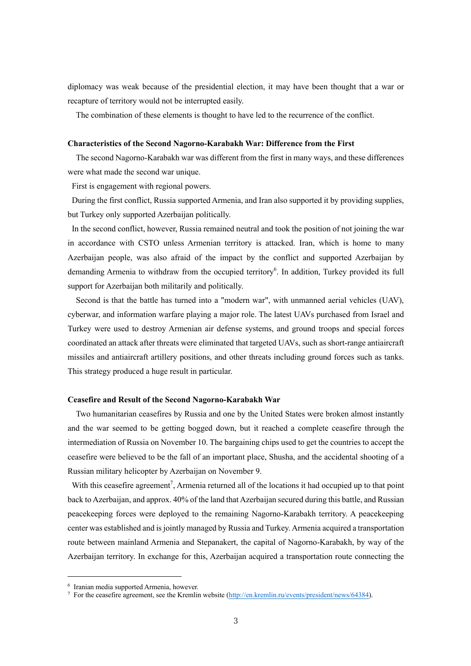diplomacy was weak because of the presidential election, it may have been thought that a war or recapture of territory would not be interrupted easily.

The combination of these elements is thought to have led to the recurrence of the conflict.

## **Characteristics of the Second Nagorno-Karabakh War: Difference from the First**

The second Nagorno-Karabakh war was different from the first in many ways, and these differences were what made the second war unique.

First is engagement with regional powers.

During the first conflict, Russia supported Armenia, and Iran also supported it by providing supplies, but Turkey only supported Azerbaijan politically.

In the second conflict, however, Russia remained neutral and took the position of not joining the war in accordance with CSTO unless Armenian territory is attacked. Iran, which is home to many Azerbaijan people, was also afraid of the impact by the conflict and supported Azerbaijan by demanding Armenia to withdraw from the occupied territory<sup>6</sup>. In addition, Turkey provided its full support for Azerbaijan both militarily and politically.

Second is that the battle has turned into a "modern war", with unmanned aerial vehicles (UAV), cyberwar, and information warfare playing a major role. The latest UAVs purchased from Israel and Turkey were used to destroy Armenian air defense systems, and ground troops and special forces coordinated an attack after threats were eliminated that targeted UAVs, such as short-range antiaircraft missiles and antiaircraft artillery positions, and other threats including ground forces such as tanks. This strategy produced a huge result in particular.

## **Ceasefire and Result of the Second Nagorno-Karabakh War**

Two humanitarian ceasefires by Russia and one by the United States were broken almost instantly and the war seemed to be getting bogged down, but it reached a complete ceasefire through the intermediation of Russia on November 10. The bargaining chips used to get the countries to accept the ceasefire were believed to be the fall of an important place, Shusha, and the accidental shooting of a Russian military helicopter by Azerbaijan on November 9.

With this ceasefire agreement<sup>7</sup>, Armenia returned all of the locations it had occupied up to that point back to Azerbaijan, and approx. 40% of the land that Azerbaijan secured during this battle, and Russian peacekeeping forces were deployed to the remaining Nagorno-Karabakh territory. A peacekeeping center was established and is jointly managed by Russia and Turkey. Armenia acquired a transportation route between mainland Armenia and Stepanakert, the capital of Nagorno-Karabakh, by way of the Azerbaijan territory. In exchange for this, Azerbaijan acquired a transportation route connecting the

<sup>6</sup> Iranian media supported Armenia, however.

<sup>7</sup> For the ceasefire agreement, see the Kremlin website (http://en.kremlin.ru/events/president/news/64384).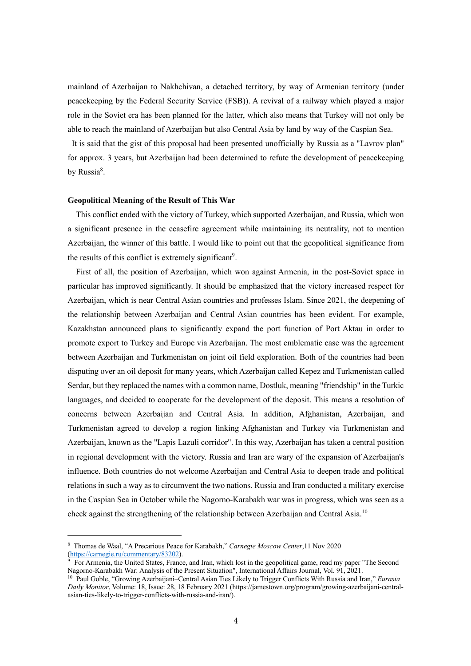mainland of Azerbaijan to Nakhchivan, a detached territory, by way of Armenian territory (under peacekeeping by the Federal Security Service (FSB)). A revival of a railway which played a major role in the Soviet era has been planned for the latter, which also means that Turkey will not only be able to reach the mainland of Azerbaijan but also Central Asia by land by way of the Caspian Sea.

It is said that the gist of this proposal had been presented unofficially by Russia as a "Lavrov plan" for approx. 3 years, but Azerbaijan had been determined to refute the development of peacekeeping by Russia<sup>8</sup>.

#### **Geopolitical Meaning of the Result of This War**

This conflict ended with the victory of Turkey, which supported Azerbaijan, and Russia, which won a significant presence in the ceasefire agreement while maintaining its neutrality, not to mention Azerbaijan, the winner of this battle. I would like to point out that the geopolitical significance from the results of this conflict is extremely significant<sup>9</sup>.

First of all, the position of Azerbaijan, which won against Armenia, in the post-Soviet space in particular has improved significantly. It should be emphasized that the victory increased respect for Azerbaijan, which is near Central Asian countries and professes Islam. Since 2021, the deepening of the relationship between Azerbaijan and Central Asian countries has been evident. For example, Kazakhstan announced plans to significantly expand the port function of Port Aktau in order to promote export to Turkey and Europe via Azerbaijan. The most emblematic case was the agreement between Azerbaijan and Turkmenistan on joint oil field exploration. Both of the countries had been disputing over an oil deposit for many years, which Azerbaijan called Kepez and Turkmenistan called Serdar, but they replaced the names with a common name, Dostluk, meaning "friendship" in the Turkic languages, and decided to cooperate for the development of the deposit. This means a resolution of concerns between Azerbaijan and Central Asia. In addition, Afghanistan, Azerbaijan, and Turkmenistan agreed to develop a region linking Afghanistan and Turkey via Turkmenistan and Azerbaijan, known as the "Lapis Lazuli corridor". In this way, Azerbaijan has taken a central position in regional development with the victory. Russia and Iran are wary of the expansion of Azerbaijan's influence. Both countries do not welcome Azerbaijan and Central Asia to deepen trade and political relations in such a way as to circumvent the two nations. Russia and Iran conducted a military exercise in the Caspian Sea in October while the Nagorno-Karabakh war was in progress, which was seen as a check against the strengthening of the relationship between Azerbaijan and Central Asia.<sup>10</sup>

<sup>8</sup> Thomas de Waal, "A Precarious Peace for Karabakh," *Carnegie Moscow Center*,11 Nov 2020 (https://carnegie.ru/commentary/83202).

<sup>9</sup> For Armenia, the United States, France, and Iran, which lost in the geopolitical game, read my paper "The Second Nagorno-Karabakh War: Analysis of the Present Situation", International Affairs Journal, Vol. 91, 2021.

<sup>10</sup> Paul Goble, "Growing Azerbaijani–Central Asian Ties Likely to Trigger Conflicts With Russia and Iran," *Eurasia Daily Monitor*, Volume: 18, Issue: 28, 18 February 2021 (https://jamestown.org/program/growing-azerbaijani-centralasian-ties-likely-to-trigger-conflicts-with-russia-and-iran/).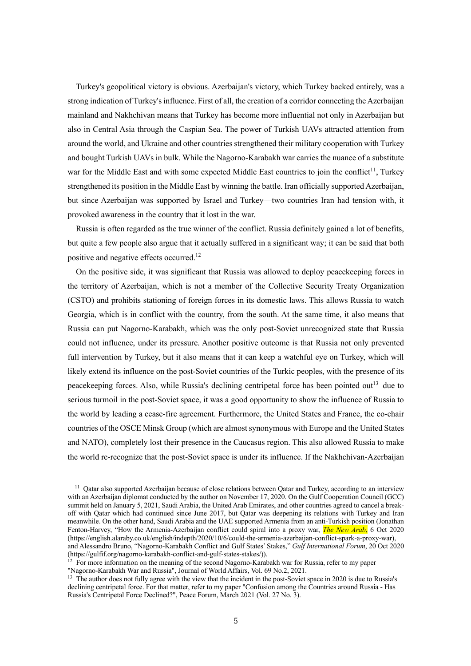Turkey's geopolitical victory is obvious. Azerbaijan's victory, which Turkey backed entirely, was a strong indication of Turkey's influence. First of all, the creation of a corridor connecting the Azerbaijan mainland and Nakhchivan means that Turkey has become more influential not only in Azerbaijan but also in Central Asia through the Caspian Sea. The power of Turkish UAVs attracted attention from around the world, and Ukraine and other countries strengthened their military cooperation with Turkey and bought Turkish UAVs in bulk. While the Nagorno-Karabakh war carries the nuance of a substitute war for the Middle East and with some expected Middle East countries to join the conflict<sup>11</sup>, Turkey strengthened its position in the Middle East by winning the battle. Iran officially supported Azerbaijan, but since Azerbaijan was supported by Israel and Turkey—two countries Iran had tension with, it provoked awareness in the country that it lost in the war.

Russia is often regarded as the true winner of the conflict. Russia definitely gained a lot of benefits, but quite a few people also argue that it actually suffered in a significant way; it can be said that both positive and negative effects occurred.12

On the positive side, it was significant that Russia was allowed to deploy peacekeeping forces in the territory of Azerbaijan, which is not a member of the Collective Security Treaty Organization (CSTO) and prohibits stationing of foreign forces in its domestic laws. This allows Russia to watch Georgia, which is in conflict with the country, from the south. At the same time, it also means that Russia can put Nagorno-Karabakh, which was the only post-Soviet unrecognized state that Russia could not influence, under its pressure. Another positive outcome is that Russia not only prevented full intervention by Turkey, but it also means that it can keep a watchful eye on Turkey, which will likely extend its influence on the post-Soviet countries of the Turkic peoples, with the presence of its peacekeeping forces. Also, while Russia's declining centripetal force has been pointed out<sup>13</sup> due to serious turmoil in the post-Soviet space, it was a good opportunity to show the influence of Russia to the world by leading a cease-fire agreement. Furthermore, the United States and France, the co-chair countries of the OSCE Minsk Group (which are almost synonymous with Europe and the United States and NATO), completely lost their presence in the Caucasus region. This also allowed Russia to make the world re-recognize that the post-Soviet space is under its influence. If the Nakhchivan-Azerbaijan

<sup>12</sup> For more information on the meaning of the second Nagorno-Karabakh war for Russia, refer to my paper "Nagorno-Karabakh War and Russia", Journal of World Affairs, Vol. 69 No.2, 2021.

<sup>&</sup>lt;sup>11</sup> Oatar also supported Azerbaijan because of close relations between Oatar and Turkey, according to an interview with an Azerbaijan diplomat conducted by the author on November 17, 2020. On the Gulf Cooperation Council (GCC) summit held on January 5, 2021, Saudi Arabia, the United Arab Emirates, and other countries agreed to cancel a breakoff with Qatar which had continued since June 2017, but Qatar was deepening its relations with Turkey and Iran meanwhile. On the other hand, Saudi Arabia and the UAE supported Armenia from an anti-Turkish position (Jonathan Fenton-Harvey, "How the Armenia-Azerbaijan conflict could spiral into a proxy war, *The New Arab*, 6 Oct 2020 (https://english.alaraby.co.uk/english/indepth/2020/10/6/could-the-armenia-azerbaijan-conflict-spark-a-proxy-war), and Alessandro Bruno, "Nagorno-Karabakh Conflict and Gulf States' Stakes," *Gulf International Forum*, 20 Oct 2020 (https://gulfif.org/nagorno-karabakh-conflict-and-gulf-states-stakes/)).

<sup>&</sup>lt;sup>13</sup> The author does not fully agree with the view that the incident in the post-Soviet space in 2020 is due to Russia's declining centripetal force. For that matter, refer to my paper "Confusion among the Countries around Russia - Has Russia's Centripetal Force Declined?", Peace Forum, March 2021 (Vol. 27 No. 3).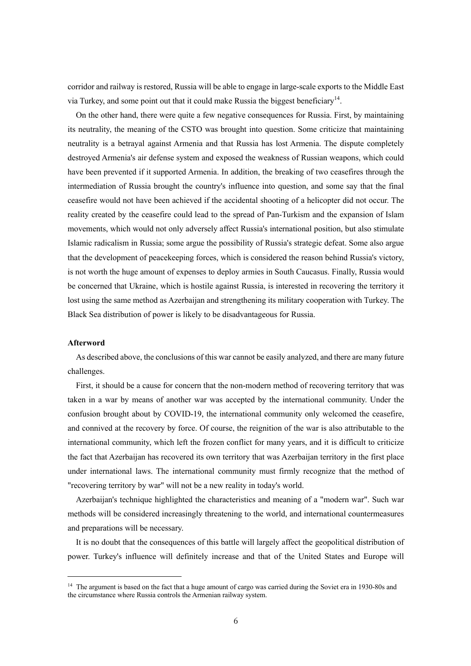corridor and railway is restored, Russia will be able to engage in large-scale exports to the Middle East via Turkey, and some point out that it could make Russia the biggest beneficiary<sup>14</sup>.

On the other hand, there were quite a few negative consequences for Russia. First, by maintaining its neutrality, the meaning of the CSTO was brought into question. Some criticize that maintaining neutrality is a betrayal against Armenia and that Russia has lost Armenia. The dispute completely destroyed Armenia's air defense system and exposed the weakness of Russian weapons, which could have been prevented if it supported Armenia. In addition, the breaking of two ceasefires through the intermediation of Russia brought the country's influence into question, and some say that the final ceasefire would not have been achieved if the accidental shooting of a helicopter did not occur. The reality created by the ceasefire could lead to the spread of Pan-Turkism and the expansion of Islam movements, which would not only adversely affect Russia's international position, but also stimulate Islamic radicalism in Russia; some argue the possibility of Russia's strategic defeat. Some also argue that the development of peacekeeping forces, which is considered the reason behind Russia's victory, is not worth the huge amount of expenses to deploy armies in South Caucasus. Finally, Russia would be concerned that Ukraine, which is hostile against Russia, is interested in recovering the territory it lost using the same method as Azerbaijan and strengthening its military cooperation with Turkey. The Black Sea distribution of power is likely to be disadvantageous for Russia.

### **Afterword**

As described above, the conclusions of this war cannot be easily analyzed, and there are many future challenges.

First, it should be a cause for concern that the non-modern method of recovering territory that was taken in a war by means of another war was accepted by the international community. Under the confusion brought about by COVID-19, the international community only welcomed the ceasefire, and connived at the recovery by force. Of course, the reignition of the war is also attributable to the international community, which left the frozen conflict for many years, and it is difficult to criticize the fact that Azerbaijan has recovered its own territory that was Azerbaijan territory in the first place under international laws. The international community must firmly recognize that the method of "recovering territory by war" will not be a new reality in today's world.

Azerbaijan's technique highlighted the characteristics and meaning of a "modern war". Such war methods will be considered increasingly threatening to the world, and international countermeasures and preparations will be necessary.

It is no doubt that the consequences of this battle will largely affect the geopolitical distribution of power. Turkey's influence will definitely increase and that of the United States and Europe will

<sup>&</sup>lt;sup>14</sup> The argument is based on the fact that a huge amount of cargo was carried during the Soviet era in 1930-80s and the circumstance where Russia controls the Armenian railway system.